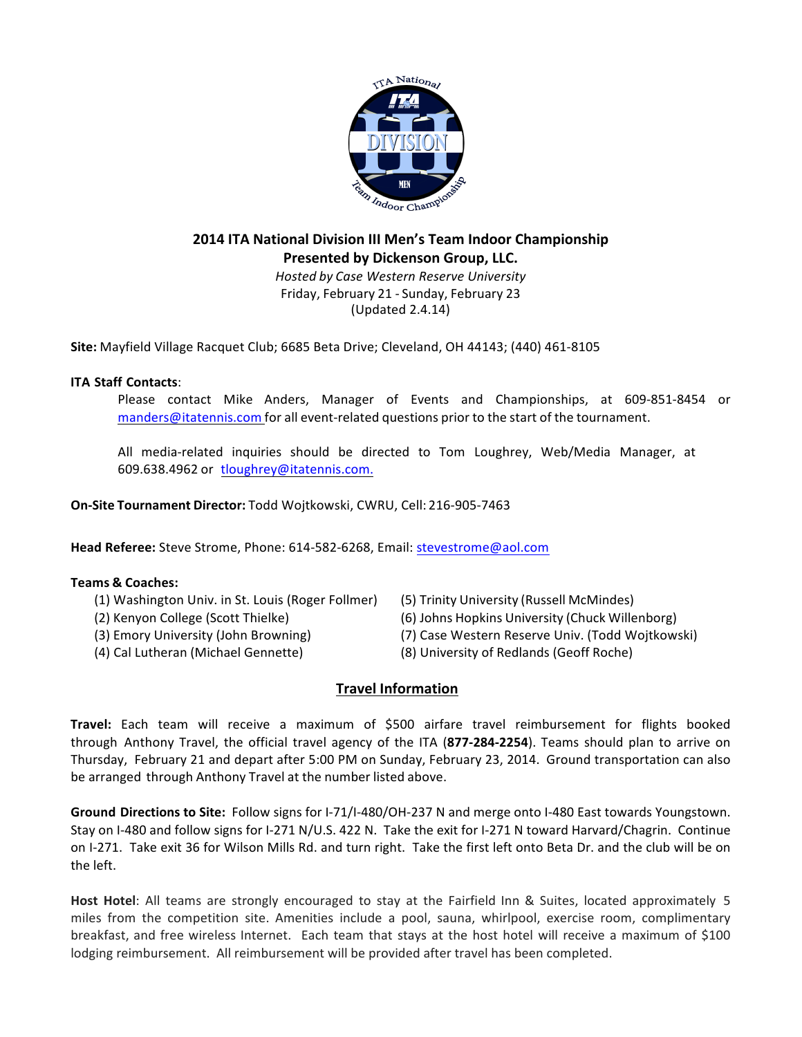

# **2014 ITA National Division III Men's Team Indoor Championship Presented by Dickenson Group, LLC.** *Hosted by Case Western Reserve University*

Friday, February 21 - Sunday, February 23 (Updated 2.4.14)

**Site:** Mayfield Village Racquet Club; 6685 Beta Drive; Cleveland, OH 44143; (440) 461-8105

## **ITA Staff Contacts**:

Please contact Mike Anders, Manager of Events and Championships, at 609-851-8454 or manders@itatennis.com for all event-related questions prior to the start of the tournament.

All media-related inquiries should be directed to Tom Loughrey, Web/Media Manager, at 609.638.4962 or tloughrey@itatennis.com.

**On-Site Tournament Director:** Todd Wojtkowski, CWRU, Cell: 216-905-7463

Head Referee: Steve Strome, Phone: 614-582-6268, Email: stevestrome@aol.com

### **Teams & Coaches:**

- (1) Washington Univ. in St. Louis (Roger Follmer) (5) Trinity University (Russell McMindes)
- 
- 
- 
- 
- (2) Kenyon College (Scott Thielke) (6) Johns Hopkins University (Chuck Willenborg)
- (3) Emory University (John Browning) (7) Case Western Reserve Univ. (Todd Wojtkowski)
- (4) Cal Lutheran (Michael Gennette) (8) University of Redlands (Geoff Roche)

# **Travel Information**

**Travel:** Each team will receive a maximum of \$500 airfare travel reimbursement for flights booked through Anthony Travel, the official travel agency of the ITA (**877-284-2254**). Teams should plan to arrive on Thursday, February 21 and depart after 5:00 PM on Sunday, February 23, 2014. Ground transportation can also be arranged through Anthony Travel at the number listed above.

Ground Directions to Site: Follow signs for I-71/I-480/OH-237 N and merge onto I-480 East towards Youngstown. Stay on I-480 and follow signs for I-271 N/U.S. 422 N. Take the exit for I-271 N toward Harvard/Chagrin. Continue on I-271. Take exit 36 for Wilson Mills Rd. and turn right. Take the first left onto Beta Dr. and the club will be on the left.

**Host Hotel**: All teams are strongly encouraged to stay at the Fairfield Inn & Suites, located approximately 5 miles from the competition site. Amenities include a pool, sauna, whirlpool, exercise room, complimentary breakfast, and free wireless Internet. Each team that stays at the host hotel will receive a maximum of \$100 lodging reimbursement. All reimbursement will be provided after travel has been completed.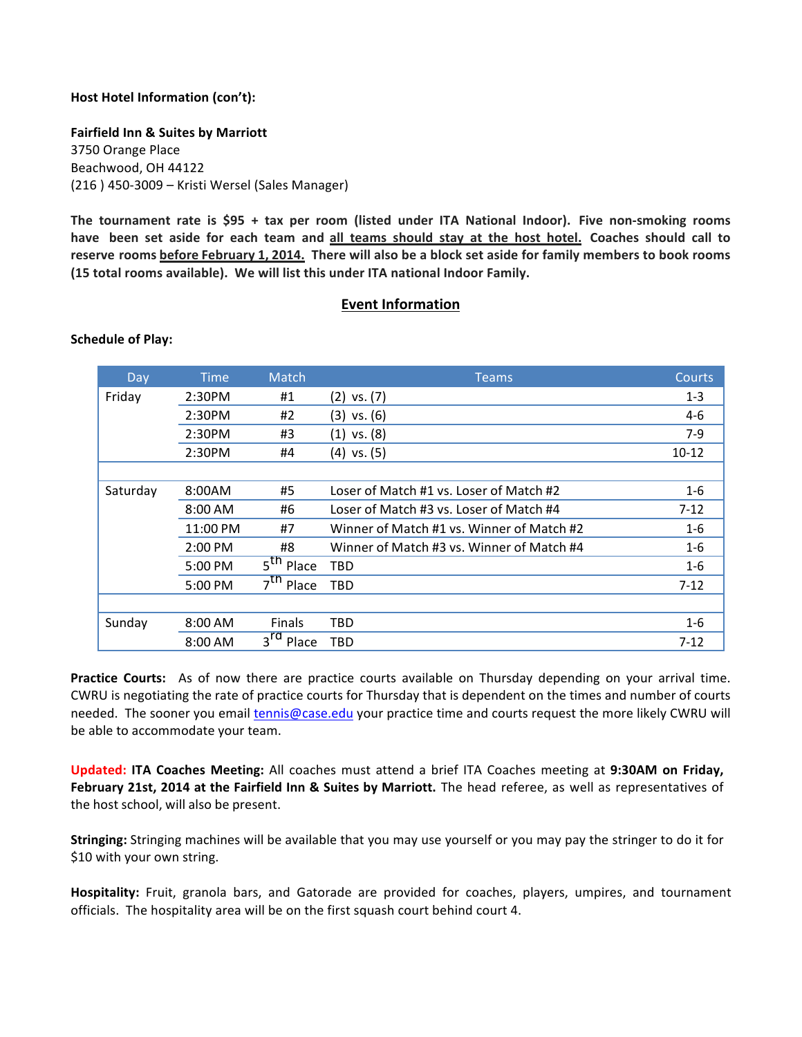### **Host Hotel Information (con't):**

**Fairfield Inn & Suites by Marriott** 3750 Orange Place Beachwood, OH 44122 (216) 450-3009 – Kristi Wersel (Sales Manager)

**The tournament rate is \$95 + tax per room (listed under ITA National Indoor). Five non-smoking rooms** have been set aside for each team and all teams should stay at the host hotel. Coaches should call to **reserve rooms before February 1, 2014. There will also be a block set aside for family members to book rooms** (15 total rooms available). We will list this under ITA national Indoor Family.

#### **Event Information**

#### **Schedule of Play:**

| Day      | <b>Time</b>       | Match                    | <b>Teams</b>                              | Courts    |
|----------|-------------------|--------------------------|-------------------------------------------|-----------|
| Friday   | 2:30PM            | #1                       | $(2)$ vs. $(7)$                           | $1 - 3$   |
|          | 2:30PM            | #2                       | $(3)$ vs. $(6)$                           | $4 - 6$   |
|          | 2:30PM            | #3                       | $(1)$ vs. $(8)$                           | $7-9$     |
|          | 2:30PM            | #4                       | $(4)$ vs. $(5)$                           | $10 - 12$ |
|          |                   |                          |                                           |           |
| Saturday | 8:00AM            | #5                       | Loser of Match #1 vs. Loser of Match #2   | $1 - 6$   |
|          | $8:00 \text{ AM}$ | #6                       | Loser of Match #3 vs. Loser of Match #4   | $7 - 12$  |
|          | 11:00 PM          | #7                       | Winner of Match #1 vs. Winner of Match #2 | $1-6$     |
|          | 2:00 PM           | #8                       | Winner of Match #3 vs. Winner of Match #4 | $1 - 6$   |
|          | 5:00 PM           | 5 <sup>tn</sup><br>Place | TBD                                       | $1 - 6$   |
|          | 5:00 PM           | 7 <sup>th</sup><br>Place | TBD                                       | $7 - 12$  |
|          |                   |                          |                                           |           |
| Sunday   | $8:00$ AM         | <b>Finals</b>            | TBD                                       | $1 - 6$   |
|          | $8:00$ AM         | $3^{\text{rd}}$<br>Place | TBD                                       | $7 - 12$  |

**Practice Courts:** As of now there are practice courts available on Thursday depending on your arrival time. CWRU is negotiating the rate of practice courts for Thursday that is dependent on the times and number of courts needed. The sooner you email tennis@case.edu your practice time and courts request the more likely CWRU will be able to accommodate your team.

**Updated: ITA Coaches Meeting:** All coaches must attend a brief ITA Coaches meeting at **9:30AM on Friday,** February 21st, 2014 at the Fairfield Inn & Suites by Marriott. The head referee, as well as representatives of the host school, will also be present.

**Stringing:** Stringing machines will be available that you may use yourself or you may pay the stringer to do it for \$10 with your own string.

**Hospitality:** Fruit, granola bars, and Gatorade are provided for coaches, players, umpires, and tournament officials. The hospitality area will be on the first squash court behind court 4.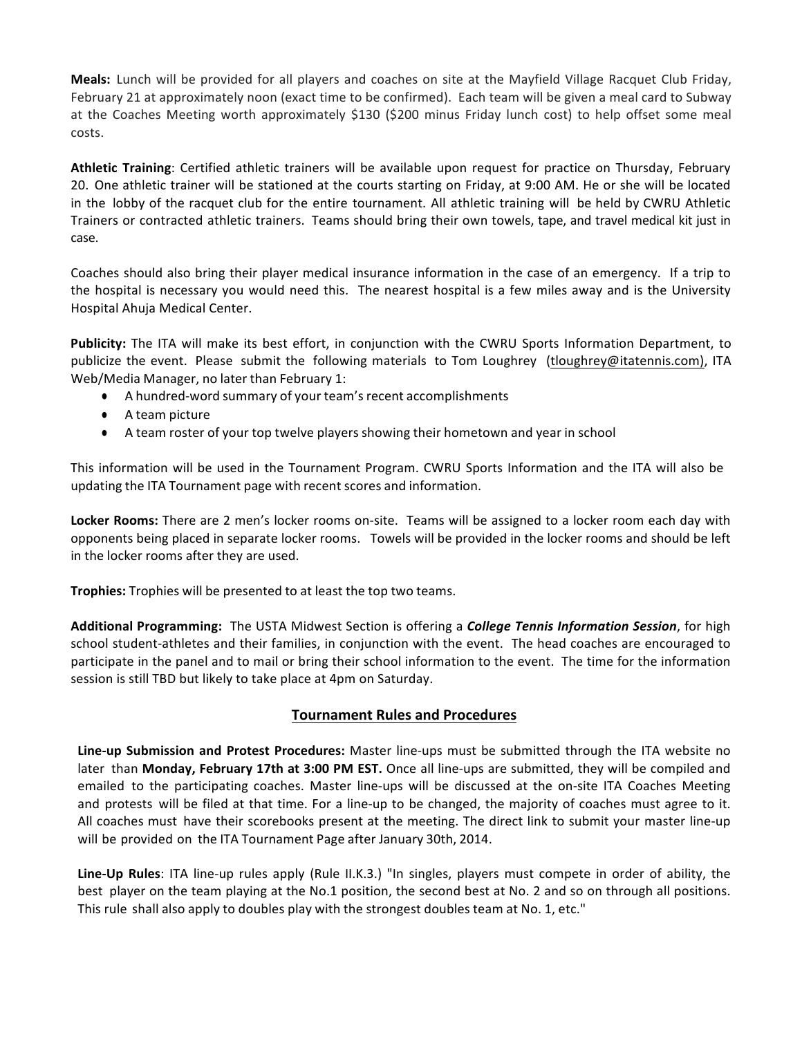**Meals:** Lunch will be provided for all players and coaches on site at the Mayfield Village Racquet Club Friday, February 21 at approximately noon (exact time to be confirmed). Each team will be given a meal card to Subway at the Coaches Meeting worth approximately \$130 (\$200 minus Friday lunch cost) to help offset some meal costs. 

**Athletic Training**: Certified athletic trainers will be available upon request for practice on Thursday, February 20. One athletic trainer will be stationed at the courts starting on Friday, at 9:00 AM. He or she will be located in the lobby of the racquet club for the entire tournament. All athletic training will be held by CWRU Athletic Trainers or contracted athletic trainers. Teams should bring their own towels, tape, and travel medical kit just in case. 

Coaches should also bring their player medical insurance information in the case of an emergency. If a trip to the hospital is necessary you would need this. The nearest hospital is a few miles away and is the University Hospital Ahuja Medical Center.

**Publicity:** The ITA will make its best effort, in conjunction with the CWRU Sports Information Department, to publicize the event. Please submit the following materials to Tom Loughrey (tloughrey@itatennis.com), ITA Web/Media Manager, no later than February 1:

- A hundred-word summary of your team's recent accomplishments
- A team picture
- A team roster of your top twelve players showing their hometown and year in school

This information will be used in the Tournament Program. CWRU Sports Information and the ITA will also be updating the ITA Tournament page with recent scores and information.

**Locker Rooms:** There are 2 men's locker rooms on-site. Teams will be assigned to a locker room each day with opponents being placed in separate locker rooms. Towels will be provided in the locker rooms and should be left in the locker rooms after they are used.

**Trophies:** Trophies will be presented to at least the top two teams.

Additional Programming: The USTA Midwest Section is offering a *College Tennis Information Session*, for high school student-athletes and their families, in conjunction with the event. The head coaches are encouraged to participate in the panel and to mail or bring their school information to the event. The time for the information session is still TBD but likely to take place at 4pm on Saturday.

### **Tournament Rules and Procedures**

**Line-up Submission and Protest Procedures:** Master line-ups must be submitted through the ITA website no later than **Monday, February 17th at 3:00 PM EST.** Once all line-ups are submitted, they will be compiled and emailed to the participating coaches. Master line-ups will be discussed at the on-site ITA Coaches Meeting and protests will be filed at that time. For a line-up to be changed, the majority of coaches must agree to it. All coaches must have their scorebooks present at the meeting. The direct link to submit your master line-up will be provided on the ITA Tournament Page after January 30th, 2014.

**Line-Up Rules**: ITA line-up rules apply (Rule II.K.3.) "In singles, players must compete in order of ability, the best player on the team playing at the No.1 position, the second best at No. 2 and so on through all positions. This rule shall also apply to doubles play with the strongest doubles team at No. 1, etc."